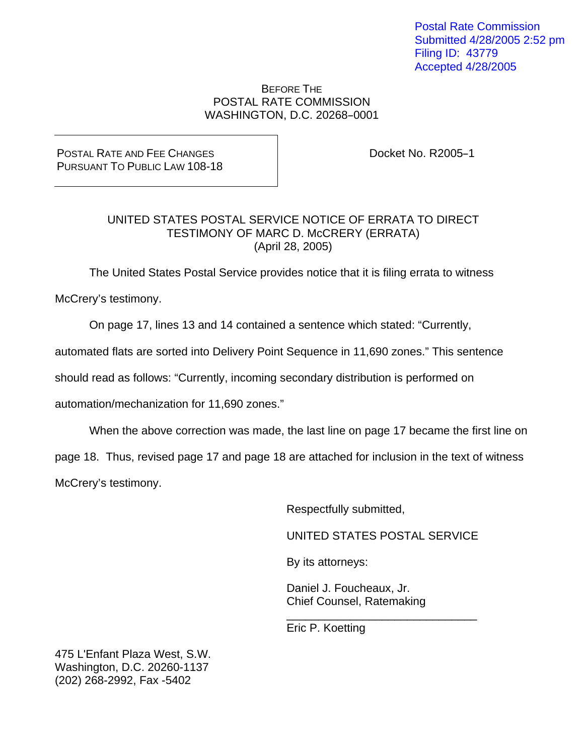Postal Rate Commission Submitted 4/28/2005 2:52 pm Filing ID: 43779 Accepted 4/28/2005

#### BEFORE THE POSTAL RATE COMMISSION WASHINGTON, D.C. 20268-0001

POSTAL RATE AND FEE CHANGES PURSUANT TO PUBLIC LAW 108-18 Docket No. R2005-1

## UNITED STATES POSTAL SERVICE NOTICE OF ERRATA TO DIRECT TESTIMONY OF MARC D. McCRERY (ERRATA) (April 28, 2005)

The United States Postal Service provides notice that it is filing errata to witness

McCrery's testimony.

On page 17, lines 13 and 14 contained a sentence which stated: "Currently,

automated flats are sorted into Delivery Point Sequence in 11,690 zones." This sentence

should read as follows: "Currently, incoming secondary distribution is performed on

 $\frac{1}{2}$  , and the contract of the contract of the contract of the contract of the contract of the contract of the contract of the contract of the contract of the contract of the contract of the contract of the contract

automation/mechanization for 11,690 zones."

When the above correction was made, the last line on page 17 became the first line on

page 18. Thus, revised page 17 and page 18 are attached for inclusion in the text of witness

McCrery's testimony.

Respectfully submitted,

UNITED STATES POSTAL SERVICE

By its attorneys:

 Daniel J. Foucheaux, Jr. Chief Counsel, Ratemaking

Eric P. Koetting

475 L'Enfant Plaza West, S.W. Washington, D.C. 20260-1137 (202) 268-2992, Fax -5402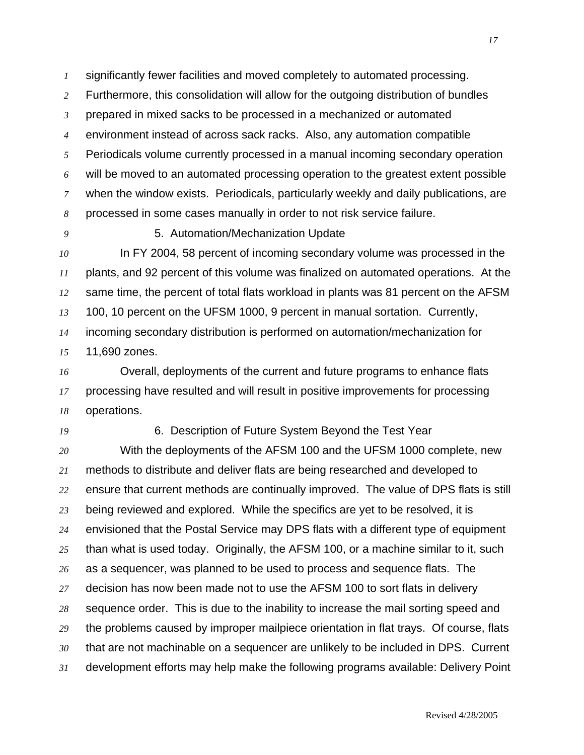significantly fewer facilities and moved completely to automated processing.

Furthermore, this consolidation will allow for the outgoing distribution of bundles

prepared in mixed sacks to be processed in a mechanized or automated

environment instead of across sack racks. Also, any automation compatible

Periodicals volume currently processed in a manual incoming secondary operation will be moved to an automated processing operation to the greatest extent possible when the window exists. Periodicals, particularly weekly and daily publications, are

processed in some cases manually in order to not risk service failure.

5. Automation/Mechanization Update

In FY 2004, 58 percent of incoming secondary volume was processed in the plants, and 92 percent of this volume was finalized on automated operations. At the same time, the percent of total flats workload in plants was 81 percent on the AFSM 100, 10 percent on the UFSM 1000, 9 percent in manual sortation. Currently, incoming secondary distribution is performed on automation/mechanization for 11,690 zones.

Overall, deployments of the current and future programs to enhance flats processing have resulted and will result in positive improvements for processing operations.

### 6. Description of Future System Beyond the Test Year

With the deployments of the AFSM 100 and the UFSM 1000 complete, new methods to distribute and deliver flats are being researched and developed to ensure that current methods are continually improved. The value of DPS flats is still being reviewed and explored. While the specifics are yet to be resolved, it is envisioned that the Postal Service may DPS flats with a different type of equipment than what is used today. Originally, the AFSM 100, or a machine similar to it, such as a sequencer, was planned to be used to process and sequence flats. The decision has now been made not to use the AFSM 100 to sort flats in delivery sequence order. This is due to the inability to increase the mail sorting speed and the problems caused by improper mailpiece orientation in flat trays. Of course, flats that are not machinable on a sequencer are unlikely to be included in DPS. Current development efforts may help make the following programs available: Delivery Point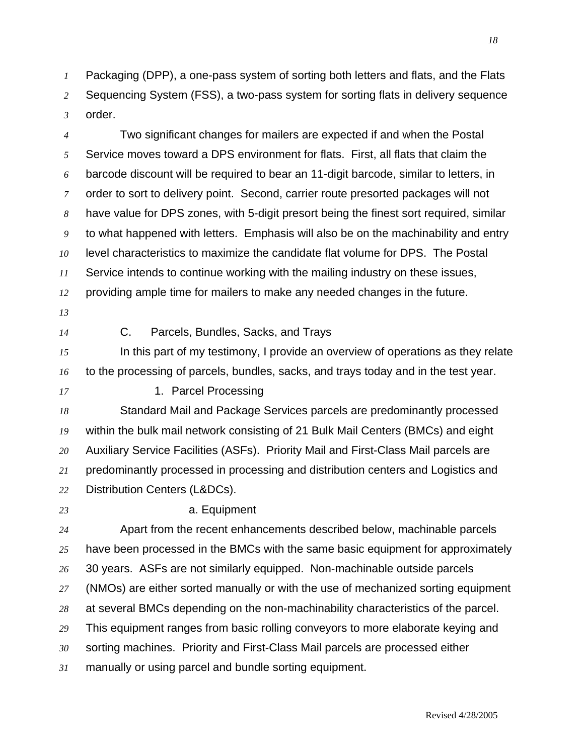Packaging (DPP), a one-pass system of sorting both letters and flats, and the Flats Sequencing System (FSS), a two-pass system for sorting flats in delivery sequence order.

Two significant changes for mailers are expected if and when the Postal Service moves toward a DPS environment for flats. First, all flats that claim the barcode discount will be required to bear an 11-digit barcode, similar to letters, in order to sort to delivery point. Second, carrier route presorted packages will not have value for DPS zones, with 5-digit presort being the finest sort required, similar to what happened with letters. Emphasis will also be on the machinability and entry level characteristics to maximize the candidate flat volume for DPS. The Postal Service intends to continue working with the mailing industry on these issues, providing ample time for mailers to make any needed changes in the future.

- 
- 

C. Parcels, Bundles, Sacks, and Trays

In this part of my testimony, I provide an overview of operations as they relate to the processing of parcels, bundles, sacks, and trays today and in the test year.

1. Parcel Processing

Standard Mail and Package Services parcels are predominantly processed within the bulk mail network consisting of 21 Bulk Mail Centers (BMCs) and eight Auxiliary Service Facilities (ASFs). Priority Mail and First-Class Mail parcels are predominantly processed in processing and distribution centers and Logistics and Distribution Centers (L&DCs).

#### a. Equipment

Apart from the recent enhancements described below, machinable parcels have been processed in the BMCs with the same basic equipment for approximately 30 years. ASFs are not similarly equipped. Non-machinable outside parcels (NMOs) are either sorted manually or with the use of mechanized sorting equipment at several BMCs depending on the non-machinability characteristics of the parcel. This equipment ranges from basic rolling conveyors to more elaborate keying and sorting machines. Priority and First-Class Mail parcels are processed either manually or using parcel and bundle sorting equipment.